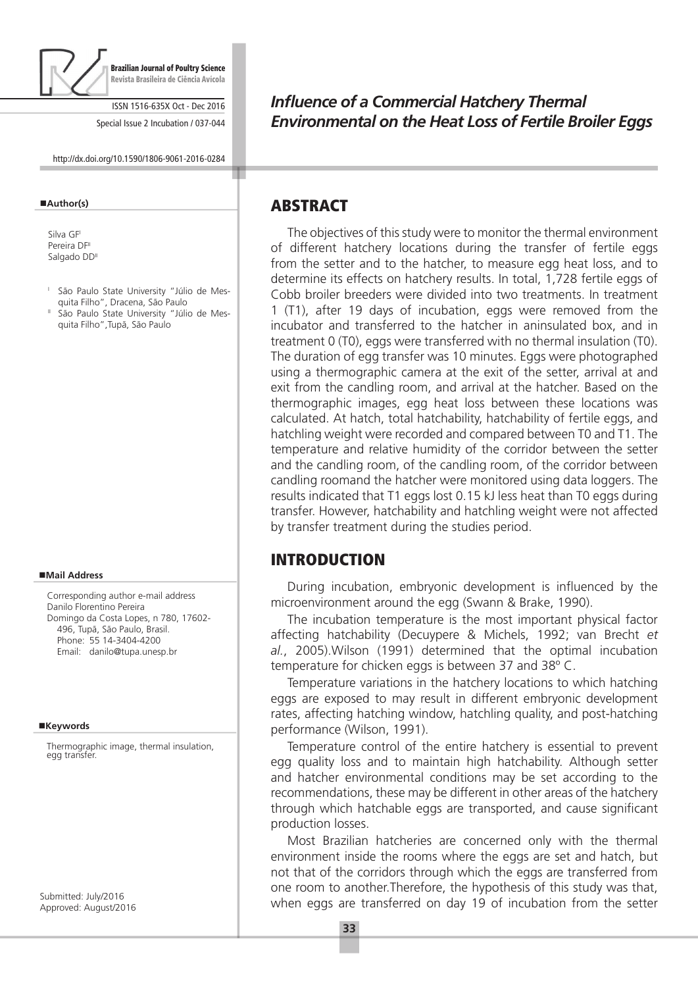

Brazilian Journal of Poultry Science Revista Brasileira de Ciência Avícola

ISSN 1516-635X Oct - Dec 2016

Special Issue 2 Incubation / 037-044

http://dx.doi.org/10.1590/1806-9061-2016-0284

#### **Author(s)**

Silva GE Pereira DF<sup>II</sup> Salgado DD<sup>II</sup>

- <sup>1</sup> São Paulo State University "Júlio de Mesquita Filho", Dracena, São Paulo
- <sup>II</sup> São Paulo State University "Júlio de Mesquita Filho",Tupã, São Paulo

#### **Mail Address**

Corresponding author e-mail address Danilo Florentino Pereira Domingo da Costa Lopes, n 780, 17602- 496, Tupã, São Paulo, Brasil. Phone: 55 14-3404-4200 Email: danilo@tupa.unesp.br

#### **Keywords**

Thermographic image, thermal insulation, egg transfer.

Submitted: July/2016 Approved: August/2016

# *Influence of a Commercial Hatchery Thermal Environmental on the Heat Loss of Fertile Broiler Eggs*

### ABSTRACT

The objectives of this study were to monitor the thermal environment of different hatchery locations during the transfer of fertile eggs from the setter and to the hatcher, to measure egg heat loss, and to determine its effects on hatchery results. In total, 1,728 fertile eggs of Cobb broiler breeders were divided into two treatments. In treatment 1 (T1), after 19 days of incubation, eggs were removed from the incubator and transferred to the hatcher in aninsulated box, and in treatment 0 (T0), eggs were transferred with no thermal insulation (T0). The duration of egg transfer was 10 minutes. Eggs were photographed using a thermographic camera at the exit of the setter, arrival at and exit from the candling room, and arrival at the hatcher. Based on the thermographic images, egg heat loss between these locations was calculated. At hatch, total hatchability, hatchability of fertile eggs, and hatchling weight were recorded and compared between T0 and T1. The temperature and relative humidity of the corridor between the setter and the candling room, of the candling room, of the corridor between candling roomand the hatcher were monitored using data loggers. The results indicated that T1 eggs lost 0.15 kJ less heat than T0 eggs during transfer. However, hatchability and hatchling weight were not affected by transfer treatment during the studies period.

# INTRODUCTION

During incubation, embryonic development is influenced by the microenvironment around the egg (Swann & Brake, 1990).

The incubation temperature is the most important physical factor affecting hatchability (Decuypere & Michels, 1992; van Brecht *et al.*, 2005).Wilson (1991) determined that the optimal incubation temperature for chicken eggs is between 37 and 38º C.

Temperature variations in the hatchery locations to which hatching eggs are exposed to may result in different embryonic development rates, affecting hatching window, hatchling quality, and post-hatching performance (Wilson, 1991).

Temperature control of the entire hatchery is essential to prevent egg quality loss and to maintain high hatchability. Although setter and hatcher environmental conditions may be set according to the recommendations, these may be different in other areas of the hatchery through which hatchable eggs are transported, and cause significant production losses.

Most Brazilian hatcheries are concerned only with the thermal environment inside the rooms where the eggs are set and hatch, but not that of the corridors through which the eggs are transferred from one room to another.Therefore, the hypothesis of this study was that, when eggs are transferred on day 19 of incubation from the setter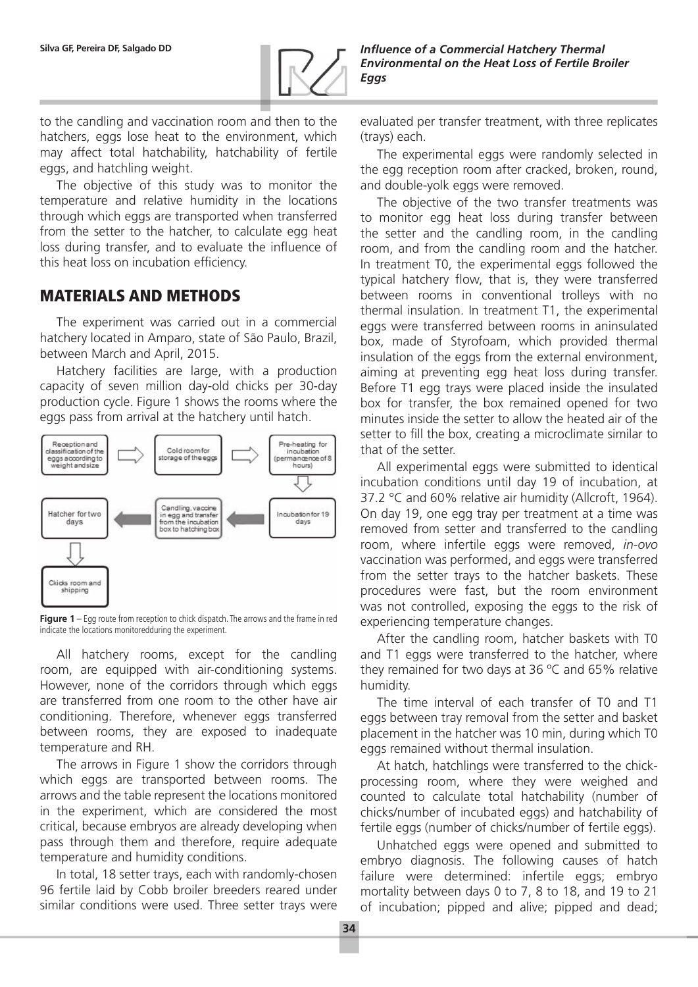

to the candling and vaccination room and then to the hatchers, eggs lose heat to the environment, which may affect total hatchability, hatchability of fertile eggs, and hatchling weight.

The objective of this study was to monitor the temperature and relative humidity in the locations through which eggs are transported when transferred from the setter to the hatcher, to calculate egg heat loss during transfer, and to evaluate the influence of this heat loss on incubation efficiency.

## MATERIALS AND METHODS

The experiment was carried out in a commercial hatchery located in Amparo, state of São Paulo, Brazil, between March and April, 2015.

Hatchery facilities are large, with a production capacity of seven million day-old chicks per 30-day production cycle. Figure 1 shows the rooms where the eggs pass from arrival at the hatchery until hatch.



**Figure 1** – Egg route from reception to chick dispatch. The arrows and the frame in red indicate the locations monitoredduring the experiment.

All hatchery rooms, except for the candling room, are equipped with air-conditioning systems. However, none of the corridors through which eggs are transferred from one room to the other have air conditioning. Therefore, whenever eggs transferred between rooms, they are exposed to inadequate temperature and RH.

The arrows in Figure 1 show the corridors through which eggs are transported between rooms. The arrows and the table represent the locations monitored in the experiment, which are considered the most critical, because embryos are already developing when pass through them and therefore, require adequate temperature and humidity conditions.

In total, 18 setter trays, each with randomly-chosen 96 fertile laid by Cobb broiler breeders reared under similar conditions were used. Three setter trays were

evaluated per transfer treatment, with three replicates (trays) each.

The experimental eggs were randomly selected in the egg reception room after cracked, broken, round, and double-yolk eggs were removed.

The objective of the two transfer treatments was to monitor egg heat loss during transfer between the setter and the candling room, in the candling room, and from the candling room and the hatcher. In treatment T0, the experimental eggs followed the typical hatchery flow, that is, they were transferred between rooms in conventional trolleys with no thermal insulation. In treatment T1, the experimental eggs were transferred between rooms in aninsulated box, made of Styrofoam, which provided thermal insulation of the eggs from the external environment, aiming at preventing egg heat loss during transfer. Before T1 egg trays were placed inside the insulated box for transfer, the box remained opened for two minutes inside the setter to allow the heated air of the setter to fill the box, creating a microclimate similar to that of the setter.

All experimental eggs were submitted to identical incubation conditions until day 19 of incubation, at 37.2 °C and 60% relative air humidity (Allcroft, 1964). On day 19, one egg tray per treatment at a time was removed from setter and transferred to the candling room, where infertile eggs were removed, *in-ovo* vaccination was performed, and eggs were transferred from the setter trays to the hatcher baskets. These procedures were fast, but the room environment was not controlled, exposing the eggs to the risk of experiencing temperature changes.

After the candling room, hatcher baskets with T0 and T1 eggs were transferred to the hatcher, where they remained for two days at 36 ºC and 65% relative humidity.

The time interval of each transfer of T0 and T1 eggs between tray removal from the setter and basket placement in the hatcher was 10 min, during which T0 eggs remained without thermal insulation.

At hatch, hatchlings were transferred to the chickprocessing room, where they were weighed and counted to calculate total hatchability (number of chicks/number of incubated eggs) and hatchability of fertile eggs (number of chicks/number of fertile eggs).

Unhatched eggs were opened and submitted to embryo diagnosis. The following causes of hatch failure were determined: infertile eggs; embryo mortality between days 0 to 7, 8 to 18, and 19 to 21 of incubation; pipped and alive; pipped and dead;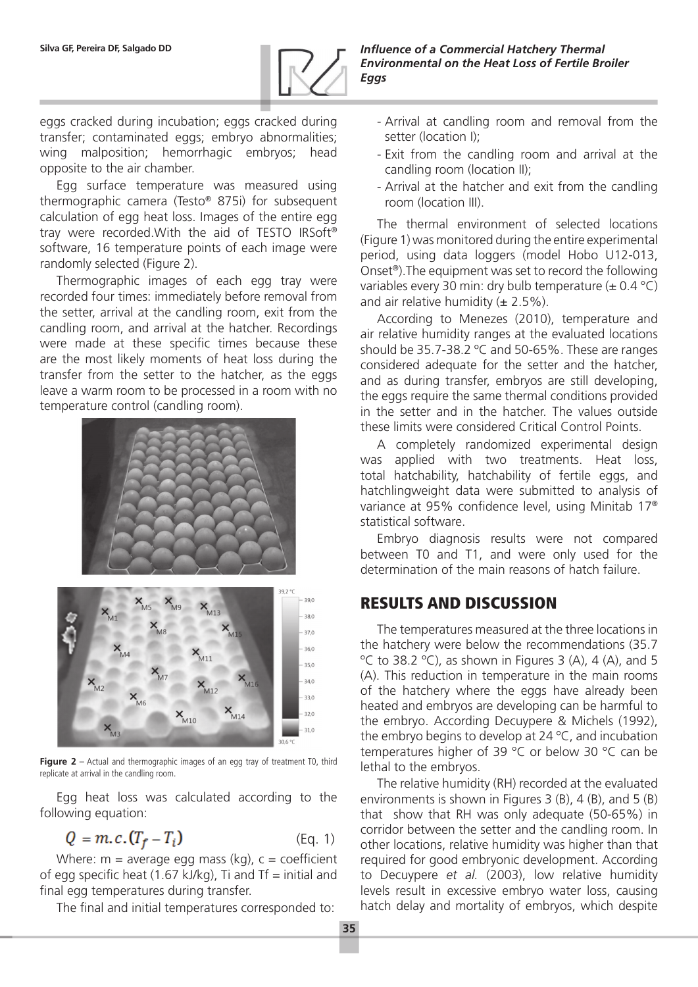

**Silva GF, Pereira DF, Salgado DD** *Influence of a Commercial Hatchery Thermal Environmental on the Heat Loss of Fertile Broiler Eggs*

eggs cracked during incubation; eggs cracked during transfer; contaminated eggs; embryo abnormalities; wing malposition; hemorrhagic embryos; head opposite to the air chamber.

Egg surface temperature was measured using thermographic camera (Testo® 875i) for subsequent calculation of egg heat loss. Images of the entire egg tray were recorded.With the aid of TESTO IRSoft® software, 16 temperature points of each image were randomly selected (Figure 2).

Thermographic images of each egg tray were recorded four times: immediately before removal from the setter, arrival at the candling room, exit from the candling room, and arrival at the hatcher. Recordings were made at these specific times because these are the most likely moments of heat loss during the transfer from the setter to the hatcher, as the eggs leave a warm room to be processed in a room with no temperature control (candling room).



**Figure 2** – Actual and thermographic images of an egg tray of treatment T0, third replicate at arrival in the candling room.

Egg heat loss was calculated according to the following equation:

$$
Q = m.c. (T_f - T_i) \tag{Eq. 1}
$$

Where:  $m =$  average egg mass (kg),  $c =$  coefficient of egg specific heat  $(1.67 \text{ kJ/kg})$ , Ti and Tf = initial and final egg temperatures during transfer.

The final and initial temperatures corresponded to:

- Arrival at candling room and removal from the setter (location I);
- Exit from the candling room and arrival at the candling room (location II);
- Arrival at the hatcher and exit from the candling room (location III).

The thermal environment of selected locations (Figure 1) was monitored during the entire experimental period, using data loggers (model Hobo U12-013, Onset®).The equipment was set to record the following variables every 30 min: dry bulb temperature  $(\pm 0.4 \degree C)$ and air relative humidity  $(\pm 2.5\%)$ .

According to Menezes (2010), temperature and air relative humidity ranges at the evaluated locations should be 35.7-38.2 ºC and 50-65%. These are ranges considered adequate for the setter and the hatcher, and as during transfer, embryos are still developing, the eggs require the same thermal conditions provided in the setter and in the hatcher. The values outside these limits were considered Critical Control Points.

A completely randomized experimental design was applied with two treatments. Heat loss, total hatchability, hatchability of fertile eggs, and hatchlingweight data were submitted to analysis of variance at 95% confidence level, using Minitab 17® statistical software.

Embryo diagnosis results were not compared between T0 and T1, and were only used for the determination of the main reasons of hatch failure.

# RESULTS AND DISCUSSION

The temperatures measured at the three locations in the hatchery were below the recommendations (35.7  $\degree$ C to 38.2  $\degree$ C), as shown in Figures 3 (A), 4 (A), and 5 (A). This reduction in temperature in the main rooms of the hatchery where the eggs have already been heated and embryos are developing can be harmful to the embryo. According Decuypere & Michels (1992), the embryo begins to develop at 24 ºC, and incubation temperatures higher of 39 °C or below 30 °C can be lethal to the embryos.

The relative humidity (RH) recorded at the evaluated environments is shown in Figures 3 (B), 4 (B), and 5 (B) that show that RH was only adequate (50-65%) in corridor between the setter and the candling room. In other locations, relative humidity was higher than that required for good embryonic development. According to Decuypere *et al.* (2003), low relative humidity levels result in excessive embryo water loss, causing hatch delay and mortality of embryos, which despite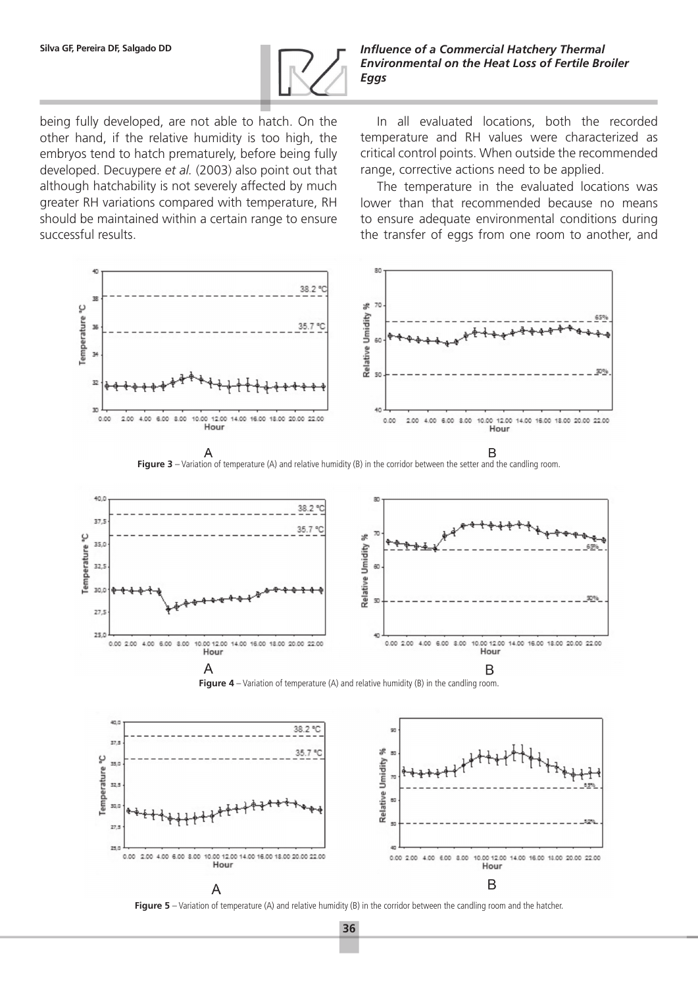

**Silva GF, Pereira DF, Salgado DD** *Influence of a Commercial Hatchery Thermal Environmental on the Heat Loss of Fertile Broiler Eggs*

being fully developed, are not able to hatch. On the other hand, if the relative humidity is too high, the embryos tend to hatch prematurely, before being fully developed. Decuypere *et al.* (2003) also point out that although hatchability is not severely affected by much greater RH variations compared with temperature, RH should be maintained within a certain range to ensure successful results.

In all evaluated locations, both the recorded temperature and RH values were characterized as critical control points. When outside the recommended range, corrective actions need to be applied.

The temperature in the evaluated locations was lower than that recommended because no means to ensure adequate environmental conditions during the transfer of eggs from one room to another, and









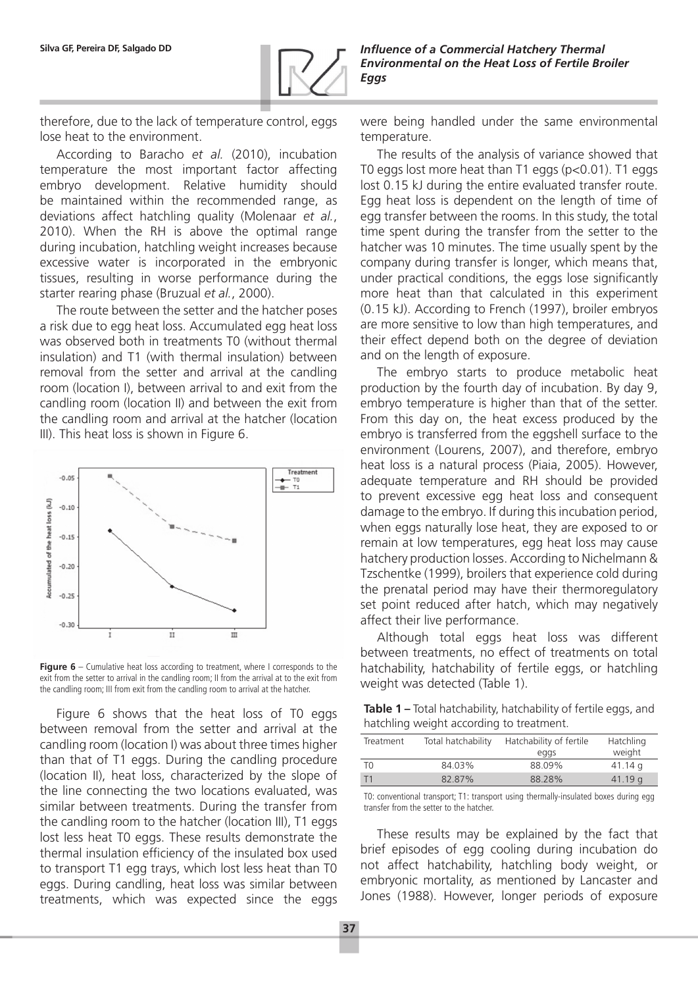

therefore, due to the lack of temperature control, eggs lose heat to the environment.

According to Baracho *et al.* (2010), incubation temperature the most important factor affecting embryo development. Relative humidity should be maintained within the recommended range, as deviations affect hatchling quality (Molenaar *et al.*, 2010). When the RH is above the optimal range during incubation, hatchling weight increases because excessive water is incorporated in the embryonic tissues, resulting in worse performance during the starter rearing phase (Bruzual *et al.*, 2000).

The route between the setter and the hatcher poses a risk due to egg heat loss. Accumulated egg heat loss was observed both in treatments T0 (without thermal insulation) and T1 (with thermal insulation) between removal from the setter and arrival at the candling room (location I), between arrival to and exit from the candling room (location II) and between the exit from the candling room and arrival at the hatcher (location III). This heat loss is shown in Figure 6.



**Figure 6** – Cumulative heat loss according to treatment, where I corresponds to the exit from the setter to arrival in the candling room; II from the arrival at to the exit from the candling room; III from exit from the candling room to arrival at the hatcher.

Figure 6 shows that the heat loss of T0 eggs between removal from the setter and arrival at the candling room (location I) was about three times higher than that of T1 eggs. During the candling procedure (location II), heat loss, characterized by the slope of the line connecting the two locations evaluated, was similar between treatments. During the transfer from the candling room to the hatcher (location III), T1 eggs lost less heat T0 eggs. These results demonstrate the thermal insulation efficiency of the insulated box used to transport T1 egg trays, which lost less heat than T0 eggs. During candling, heat loss was similar between treatments, which was expected since the eggs

were being handled under the same environmental temperature.

The results of the analysis of variance showed that T0 eggs lost more heat than T1 eggs (p<0.01). T1 eggs lost 0.15 kJ during the entire evaluated transfer route. Egg heat loss is dependent on the length of time of egg transfer between the rooms. In this study, the total time spent during the transfer from the setter to the hatcher was 10 minutes. The time usually spent by the company during transfer is longer, which means that, under practical conditions, the eggs lose significantly more heat than that calculated in this experiment (0.15 kJ). According to French (1997), broiler embryos are more sensitive to low than high temperatures, and their effect depend both on the degree of deviation and on the length of exposure.

The embryo starts to produce metabolic heat production by the fourth day of incubation. By day 9, embryo temperature is higher than that of the setter. From this day on, the heat excess produced by the embryo is transferred from the eggshell surface to the environment (Lourens, 2007), and therefore, embryo heat loss is a natural process (Piaia, 2005). However, adequate temperature and RH should be provided to prevent excessive egg heat loss and consequent damage to the embryo. If during this incubation period, when eggs naturally lose heat, they are exposed to or remain at low temperatures, egg heat loss may cause hatchery production losses. According to Nichelmann & Tzschentke (1999), broilers that experience cold during the prenatal period may have their thermoregulatory set point reduced after hatch, which may negatively affect their live performance.

Although total eggs heat loss was different between treatments, no effect of treatments on total hatchability, hatchability of fertile eggs, or hatchling weight was detected (Table 1).

**Table 1 –** Total hatchability, hatchability of fertile eggs, and hatchling weight according to treatment.

| Treatment | Total hatchability | Hatchability of fertile<br>eggs | Hatchling<br>weight |
|-----------|--------------------|---------------------------------|---------------------|
| TΩ        | 84.03%             | 88.09%                          | 41.14q              |
| T1        | 82.87%             | 88.28%                          | 41.19a              |

T0: conventional transport; T1: transport using thermally-insulated boxes during egg transfer from the setter to the hatcher.

These results may be explained by the fact that brief episodes of egg cooling during incubation do not affect hatchability, hatchling body weight, or embryonic mortality, as mentioned by Lancaster and Jones (1988). However, longer periods of exposure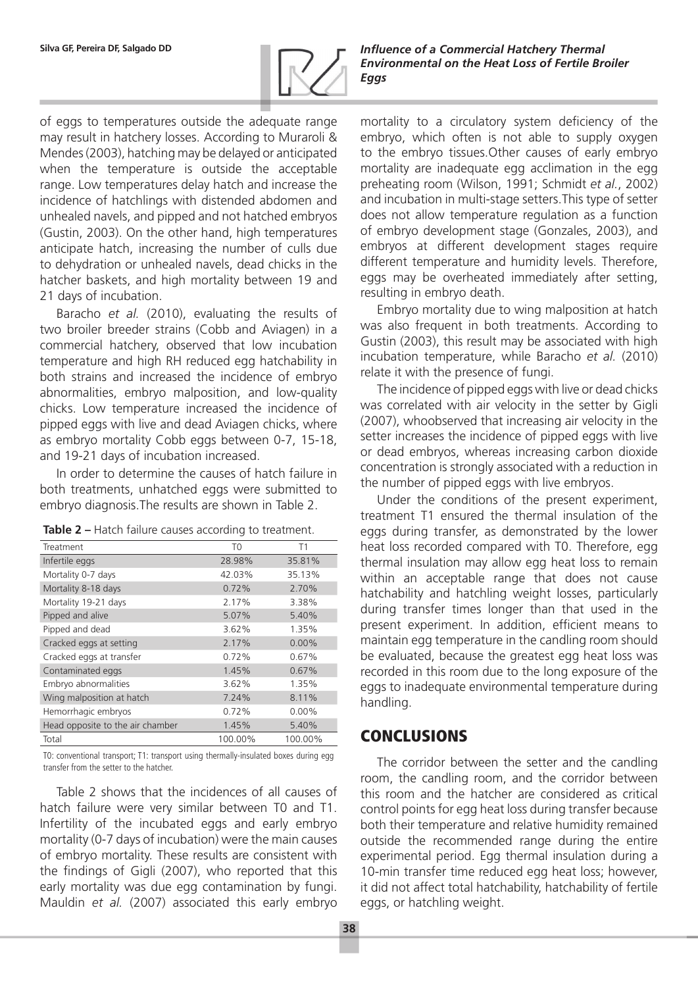

**Silva GF, Pereira DF, Salgado DD** *Influence of a Commercial Hatchery Thermal Environmental on the Heat Loss of Fertile Broiler Eggs*

of eggs to temperatures outside the adequate range may result in hatchery losses. According to Muraroli & Mendes (2003), hatching may be delayed or anticipated when the temperature is outside the acceptable range. Low temperatures delay hatch and increase the incidence of hatchlings with distended abdomen and unhealed navels, and pipped and not hatched embryos (Gustin, 2003). On the other hand, high temperatures anticipate hatch, increasing the number of culls due to dehydration or unhealed navels, dead chicks in the hatcher baskets, and high mortality between 19 and 21 days of incubation.

Baracho *et al.* (2010), evaluating the results of two broiler breeder strains (Cobb and Aviagen) in a commercial hatchery, observed that low incubation temperature and high RH reduced egg hatchability in both strains and increased the incidence of embryo abnormalities, embryo malposition, and low-quality chicks. Low temperature increased the incidence of pipped eggs with live and dead Aviagen chicks, where as embryo mortality Cobb eggs between 0-7, 15-18, and 19-21 days of incubation increased.

In order to determine the causes of hatch failure in both treatments, unhatched eggs were submitted to embryo diagnosis.The results are shown in Table 2.

| Treatment                        | T <sub>0</sub> | Τ1       |
|----------------------------------|----------------|----------|
| Infertile eggs                   | 28.98%         | 35.81%   |
| Mortality 0-7 days               | 42.03%         | 35.13%   |
| Mortality 8-18 days              | 0.72%          | 2.70%    |
| Mortality 19-21 days             | 2.17%          | 3.38%    |
| Pipped and alive                 | 5.07%          | 5.40%    |
| Pipped and dead                  | 3.62%          | 1.35%    |
| Cracked eggs at setting          | 2.17%          | $0.00\%$ |
| Cracked eggs at transfer         | 0.72%          | 0.67%    |
| Contaminated eggs                | 1.45%          | 0.67%    |
| Embryo abnormalities             | 3.62%          | 1.35%    |
| Wing malposition at hatch        | 7.24%          | 8.11%    |
| Hemorrhagic embryos              | 0.72%          | $0.00\%$ |
| Head opposite to the air chamber | 1.45%          | 5.40%    |
| Total                            | 100.00%        | 100.00%  |

**Table 2 –** Hatch failure causes according to treatment.

T0: conventional transport; T1: transport using thermally-insulated boxes during egg transfer from the setter to the hatcher.

Table 2 shows that the incidences of all causes of hatch failure were very similar between T0 and T1. Infertility of the incubated eggs and early embryo mortality (0-7 days of incubation) were the main causes of embryo mortality. These results are consistent with the findings of Gigli (2007), who reported that this early mortality was due egg contamination by fungi. Mauldin *et al.* (2007) associated this early embryo

mortality to a circulatory system deficiency of the embryo, which often is not able to supply oxygen to the embryo tissues.Other causes of early embryo mortality are inadequate egg acclimation in the egg preheating room (Wilson, 1991; Schmidt *et al.*, 2002) and incubation in multi-stage setters.This type of setter does not allow temperature regulation as a function of embryo development stage (Gonzales, 2003), and embryos at different development stages require different temperature and humidity levels. Therefore, eggs may be overheated immediately after setting, resulting in embryo death.

Embryo mortality due to wing malposition at hatch was also frequent in both treatments. According to Gustin (2003), this result may be associated with high incubation temperature, while Baracho *et al.* (2010) relate it with the presence of fungi.

The incidence of pipped eggs with live or dead chicks was correlated with air velocity in the setter by Gigli (2007), whoobserved that increasing air velocity in the setter increases the incidence of pipped eggs with live or dead embryos, whereas increasing carbon dioxide concentration is strongly associated with a reduction in the number of pipped eggs with live embryos.

Under the conditions of the present experiment, treatment T1 ensured the thermal insulation of the eggs during transfer, as demonstrated by the lower heat loss recorded compared with T0. Therefore, egg thermal insulation may allow egg heat loss to remain within an acceptable range that does not cause hatchability and hatchling weight losses, particularly during transfer times longer than that used in the present experiment. In addition, efficient means to maintain egg temperature in the candling room should be evaluated, because the greatest egg heat loss was recorded in this room due to the long exposure of the eggs to inadequate environmental temperature during handling.

# CONCLUSIONS

The corridor between the setter and the candling room, the candling room, and the corridor between this room and the hatcher are considered as critical control points for egg heat loss during transfer because both their temperature and relative humidity remained outside the recommended range during the entire experimental period. Egg thermal insulation during a 10-min transfer time reduced egg heat loss; however, it did not affect total hatchability, hatchability of fertile eggs, or hatchling weight.